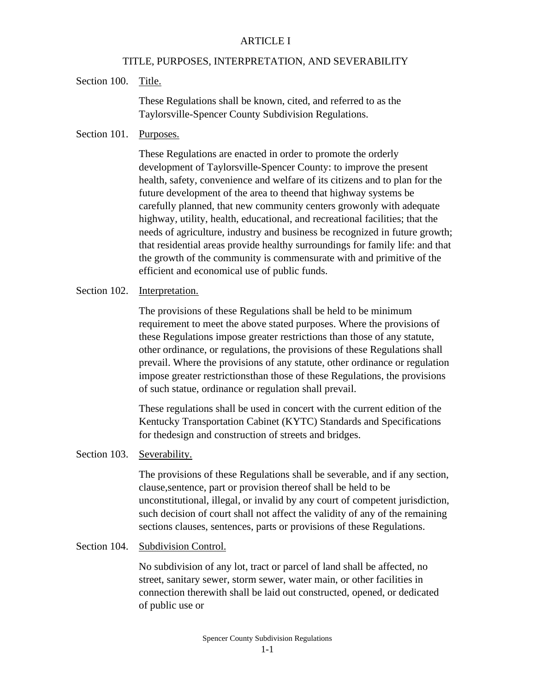## ARTICLE I

### TITLE, PURPOSES, INTERPRETATION, AND SEVERABILITY

Section 100. Title.

These Regulations shall be known, cited, and referred to as the Taylorsville-Spencer County Subdivision Regulations.

# Section 101. Purposes.

These Regulations are enacted in order to promote the orderly development of Taylorsville-Spencer County: to improve the present health, safety, convenience and welfare of its citizens and to plan for the future development of the area to theend that highway systems be carefully planned, that new community centers growonly with adequate highway, utility, health, educational, and recreational facilities; that the needs of agriculture, industry and business be recognized in future growth; that residential areas provide healthy surroundings for family life: and that the growth of the community is commensurate with and primitive of the efficient and economical use of public funds.

### Section 102. Interpretation.

The provisions of these Regulations shall be held to be minimum requirement to meet the above stated purposes. Where the provisions of these Regulations impose greater restrictions than those of any statute, other ordinance, or regulations, the provisions of these Regulations shall prevail. Where the provisions of any statute, other ordinance or regulation impose greater restrictionsthan those of these Regulations, the provisions of such statue, ordinance or regulation shall prevail.

These regulations shall be used in concert with the current edition of the Kentucky Transportation Cabinet (KYTC) Standards and Specifications for thedesign and construction of streets and bridges.

# Section 103. Severability.

The provisions of these Regulations shall be severable, and if any section, clause,sentence, part or provision thereof shall be held to be unconstitutional, illegal, or invalid by any court of competent jurisdiction, such decision of court shall not affect the validity of any of the remaining sections clauses, sentences, parts or provisions of these Regulations.

#### Section 104. Subdivision Control.

No subdivision of any lot, tract or parcel of land shall be affected, no street, sanitary sewer, storm sewer, water main, or other facilities in connection therewith shall be laid out constructed, opened, or dedicated of public use or